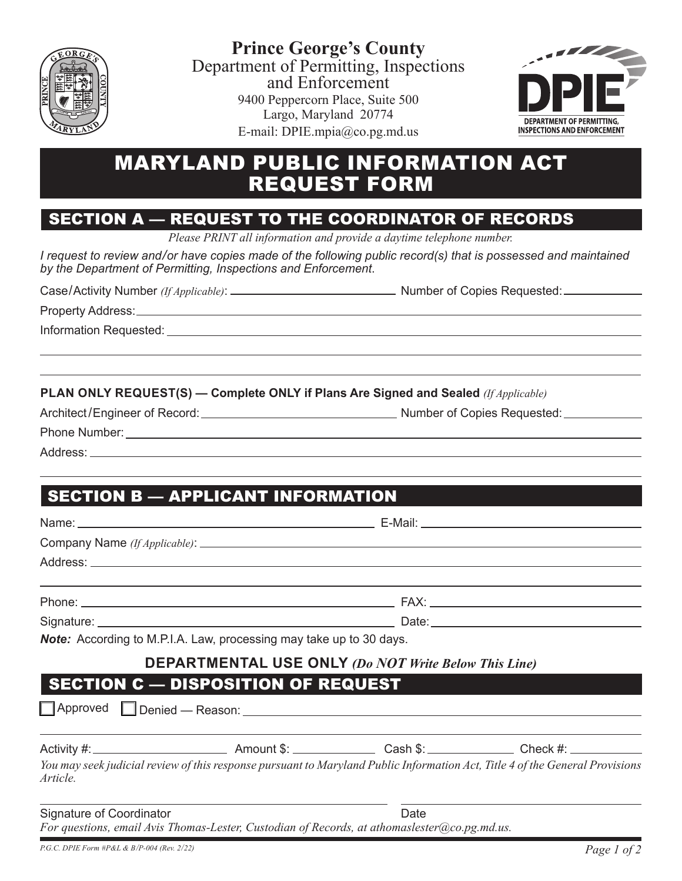

**Prince George's County** Department of Permitting, Inspections and Enforcement 9400 Peppercorn Place, Suite 500 Largo, Maryland 20774 E-mail: DPIE.mpia@co.pg.md.us



# MARYLAND PUBLIC INFORMATION ACT REQUEST FORM

### SECTION A — REQUEST TO THE COORDINATOR OF RECORDS

*Please PRINT all information and provide a daytime telephone number.*

*I* request to review and/or have copies made of the following public record(s) that is possessed and maintained *by the Department of Permitting, Inspections and Enforcement*.

Case/Activity Number *(If Applicable)*: Number of Copies Requested:

Property Address:

Information Requested:

**PLAN ONLY REQUEST(S) — Complete ONLY if Plans Are Signed and Sealed** *(If Applicable)*

| Architect/Engineer of Record |  |  |  |
|------------------------------|--|--|--|
|------------------------------|--|--|--|

Architect /Engineer of Record: Number of Copies Requested:

Address: 2000

 $\overline{a}$ 

## SECTION B — APPLICANT INFORMATION

| Note: According to M.P.I.A. Law, processing may take up to 30 days. |                                                             |  |
|---------------------------------------------------------------------|-------------------------------------------------------------|--|
|                                                                     | <b>DEPARTMENTAL USE ONLY (Do NOT Write Below This Line)</b> |  |
| <b>SECTION C - DISPOSITION OF REQUEST</b>                           |                                                             |  |

|  | $\Box$ Approved $\Box$ Denied — Reason: |
|--|-----------------------------------------|
|--|-----------------------------------------|

Activity #: Amount \$: Cash \$: Check #:

*You may seek judicial review of this response pursuant to Maryland Public Information Act, Title 4 of the General Provisions Article.*

Signature of Coordinator **Date** Date **Date** *For questions, email Avis Thomas-Lester, Custodian of Records, at athomaslester@co.pg.md.us.*